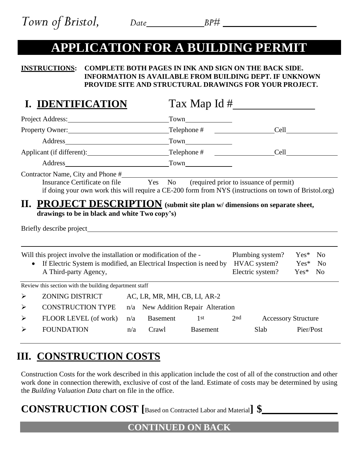# **APPLICATION FOR A BUILDING PERMIT**

#### **INSTRUCTIONS: COMPLETE BOTH PAGES IN INK AND SIGN ON THE BACK SIDE. INFORMATION IS AVAILABLE FROM BUILDING DEPT. IF UNKNOWN PROVIDE SITE AND STRUCTURAL DRAWINGS FOR YOUR PROJECT.**

## **I. IDENTIFICATION** Tax Map Id # Project Address: Town Property Owner: Telephone # Cell Address Town Applicant (if different): Telephone # Cell Address Town Contractor Name, City and Phone # Insurance Certificate on file Yes No (required prior to issuance of permit) if doing your own work this will require a CE-200 form from NYS (instructions on town of Bristol.org) **II. PROJECT DESCRIPTION (submit site plan w/ dimensions on separate sheet, drawings to be in black and white Two copy's)** Briefly describe project  $\overline{a}$ Will this project involve the installation or modification of the - Plumbing system? Yes\* No • If Electric System is modified, an Electrical Inspection is need by HVAC system? Yes\* No A Third-party Agency, Electric system? Yes\* No Review this section with the building department staff ➢ ZONING DISTRICT AC, LR, MR, MH, CB, LI, AR-2 ➢ CONSTRUCTION TYPE n/a New Addition Repair Alteration

➢ FLOOR LEVEL (of work) n/a Basement 1st 2nd Accessory Structure ➢ FOUNDATION n/a Crawl Basement Slab Pier/Post

## **III. CONSTRUCTION COSTS**

Construction Costs for the work described in this application include the cost of all of the construction and other work done in connection therewith, exclusive of cost of the land. Estimate of costs may be determined by using the *Building Valuation Data* chart on file in the office.

**CONSTRUCTION COST [**Based on Contracted Labor and Material**] \$**

### **CONTINUED ON BACK**